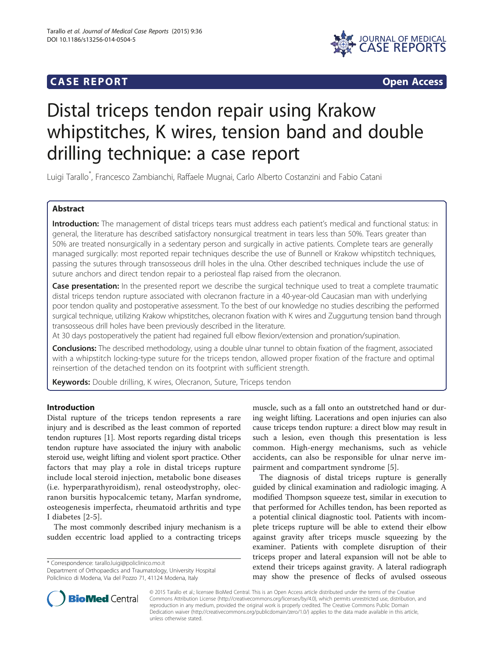# **CASE REPORT CASE REPORT**



# Distal triceps tendon repair using Krakow whipstitches, K wires, tension band and double drilling technique: a case report

Luigi Tarallo\* , Francesco Zambianchi, Raffaele Mugnai, Carlo Alberto Costanzini and Fabio Catani

# Abstract

Introduction: The management of distal triceps tears must address each patient's medical and functional status: in general, the literature has described satisfactory nonsurgical treatment in tears less than 50%. Tears greater than 50% are treated nonsurgically in a sedentary person and surgically in active patients. Complete tears are generally managed surgically: most reported repair techniques describe the use of Bunnell or Krakow whipstitch techniques, passing the sutures through transosseous drill holes in the ulna. Other described techniques include the use of suture anchors and direct tendon repair to a periosteal flap raised from the olecranon.

Case presentation: In the presented report we describe the surgical technique used to treat a complete traumatic distal triceps tendon rupture associated with olecranon fracture in a 40-year-old Caucasian man with underlying poor tendon quality and postoperative assessment. To the best of our knowledge no studies describing the performed surgical technique, utilizing Krakow whipstitches, olecranon fixation with K wires and Zuggurtung tension band through transosseous drill holes have been previously described in the literature.

At 30 days postoperatively the patient had regained full elbow flexion/extension and pronation/supination.

**Conclusions:** The described methodology, using a double ulnar tunnel to obtain fixation of the fragment, associated with a whipstitch locking-type suture for the triceps tendon, allowed proper fixation of the fracture and optimal reinsertion of the detached tendon on its footprint with sufficient strength.

Keywords: Double drilling, K wires, Olecranon, Suture, Triceps tendon

### Introduction

Distal rupture of the triceps tendon represents a rare injury and is described as the least common of reported tendon ruptures [[1](#page-3-0)]. Most reports regarding distal triceps tendon rupture have associated the injury with anabolic steroid use, weight lifting and violent sport practice. Other factors that may play a role in distal triceps rupture include local steroid injection, metabolic bone diseases (i.e. hyperparathyroidism), renal osteodystrophy, olecranon bursitis hypocalcemic tetany, Marfan syndrome, osteogenesis imperfecta, rheumatoid arthritis and type I diabetes [[2-5](#page-3-0)].

The most commonly described injury mechanism is a sudden eccentric load applied to a contracting triceps

\* Correspondence: [tarallo.luigi@policlinico.mo.it](mailto:tarallo.luigi@policlinico.mo.it)

Department of Orthopaedics and Traumatology, University Hospital Policlinico di Modena, Via del Pozzo 71, 41124 Modena, Italy

muscle, such as a fall onto an outstretched hand or during weight lifting. Lacerations and open injuries can also cause triceps tendon rupture: a direct blow may result in such a lesion, even though this presentation is less common. High-energy mechanisms, such as vehicle accidents, can also be responsible for ulnar nerve impairment and compartment syndrome [\[5](#page-3-0)].

The diagnosis of distal triceps rupture is generally guided by clinical examination and radiologic imaging. A modified Thompson squeeze test, similar in execution to that performed for Achilles tendon, has been reported as a potential clinical diagnostic tool. Patients with incomplete triceps rupture will be able to extend their elbow against gravity after triceps muscle squeezing by the examiner. Patients with complete disruption of their triceps proper and lateral expansion will not be able to extend their triceps against gravity. A lateral radiograph may show the presence of flecks of avulsed osseous



© 2015 Tarallo et al.; licensee BioMed Central. This is an Open Access article distributed under the terms of the Creative Commons Attribution License [\(http://creativecommons.org/licenses/by/4.0\)](http://creativecommons.org/licenses/by/4.0), which permits unrestricted use, distribution, and reproduction in any medium, provided the original work is properly credited. The Creative Commons Public Domain Dedication waiver [\(http://creativecommons.org/publicdomain/zero/1.0/](http://creativecommons.org/publicdomain/zero/1.0/)) applies to the data made available in this article, unless otherwise stated.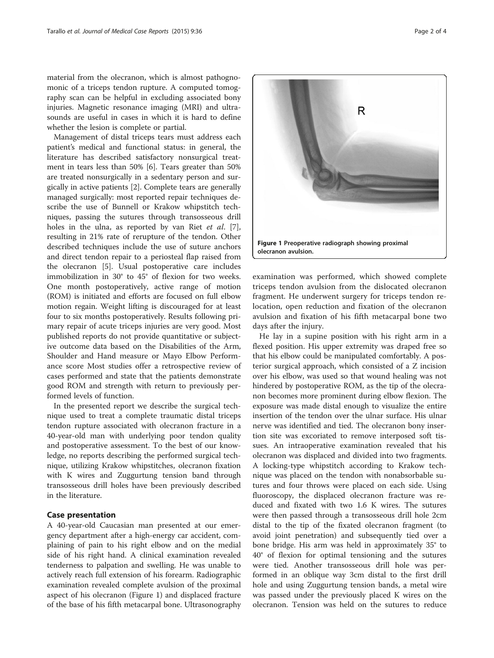material from the olecranon, which is almost pathognomonic of a triceps tendon rupture. A computed tomography scan can be helpful in excluding associated bony injuries. Magnetic resonance imaging (MRI) and ultrasounds are useful in cases in which it is hard to define whether the lesion is complete or partial.

Management of distal triceps tears must address each patient's medical and functional status: in general, the literature has described satisfactory nonsurgical treatment in tears less than 50% [[6\]](#page-3-0). Tears greater than 50% are treated nonsurgically in a sedentary person and surgically in active patients [[2\]](#page-3-0). Complete tears are generally managed surgically: most reported repair techniques describe the use of Bunnell or Krakow whipstitch techniques, passing the sutures through transosseous drill holes in the ulna, as reported by van Riet et al. [\[7](#page-3-0)], resulting in 21% rate of rerupture of the tendon. Other described techniques include the use of suture anchors and direct tendon repair to a periosteal flap raised from the olecranon [\[5](#page-3-0)]. Usual postoperative care includes immobilization in 30° to 45° of flexion for two weeks. One month postoperatively, active range of motion (ROM) is initiated and efforts are focused on full elbow motion regain. Weight lifting is discouraged for at least four to six months postoperatively. Results following primary repair of acute triceps injuries are very good. Most published reports do not provide quantitative or subjective outcome data based on the Disabilities of the Arm, Shoulder and Hand measure or Mayo Elbow Performance score Most studies offer a retrospective review of cases performed and state that the patients demonstrate good ROM and strength with return to previously performed levels of function.

In the presented report we describe the surgical technique used to treat a complete traumatic distal triceps tendon rupture associated with olecranon fracture in a 40-year-old man with underlying poor tendon quality and postoperative assessment. To the best of our knowledge, no reports describing the performed surgical technique, utilizing Krakow whipstitches, olecranon fixation with K wires and Zuggurtung tension band through transosseous drill holes have been previously described in the literature.

#### Case presentation

A 40-year-old Caucasian man presented at our emergency department after a high-energy car accident, complaining of pain to his right elbow and on the medial side of his right hand. A clinical examination revealed tenderness to palpation and swelling. He was unable to actively reach full extension of his forearm. Radiographic examination revealed complete avulsion of the proximal aspect of his olecranon (Figure 1) and displaced fracture of the base of his fifth metacarpal bone. Ultrasonography



examination was performed, which showed complete triceps tendon avulsion from the dislocated olecranon fragment. He underwent surgery for triceps tendon relocation, open reduction and fixation of the olecranon avulsion and fixation of his fifth metacarpal bone two days after the injury.

He lay in a supine position with his right arm in a flexed position. His upper extremity was draped free so that his elbow could be manipulated comfortably. A posterior surgical approach, which consisted of a Z incision over his elbow, was used so that wound healing was not hindered by postoperative ROM, as the tip of the olecranon becomes more prominent during elbow flexion. The exposure was made distal enough to visualize the entire insertion of the tendon over the ulnar surface. His ulnar nerve was identified and tied. The olecranon bony insertion site was excoriated to remove interposed soft tissues. An intraoperative examination revealed that his olecranon was displaced and divided into two fragments. A locking-type whipstitch according to Krakow technique was placed on the tendon with nonabsorbable sutures and four throws were placed on each side. Using fluoroscopy, the displaced olecranon fracture was reduced and fixated with two 1.6 K wires. The sutures were then passed through a transosseous drill hole 2cm distal to the tip of the fixated olecranon fragment (to avoid joint penetration) and subsequently tied over a bone bridge. His arm was held in approximately 35° to 40° of flexion for optimal tensioning and the sutures were tied. Another transosseous drill hole was performed in an oblique way 3cm distal to the first drill hole and using Zuggurtung tension bands, a metal wire was passed under the previously placed K wires on the olecranon. Tension was held on the sutures to reduce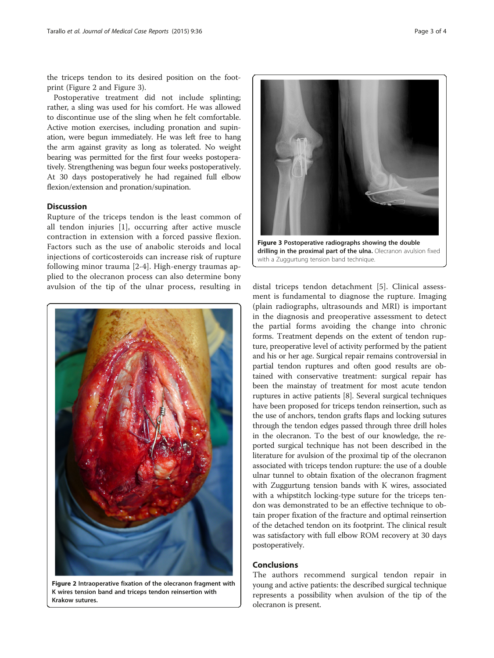the triceps tendon to its desired position on the footprint (Figure 2 and Figure 3).

Postoperative treatment did not include splinting; rather, a sling was used for his comfort. He was allowed to discontinue use of the sling when he felt comfortable. Active motion exercises, including pronation and supination, were begun immediately. He was left free to hang the arm against gravity as long as tolerated. No weight bearing was permitted for the first four weeks postoperatively. Strengthening was begun four weeks postoperatively. At 30 days postoperatively he had regained full elbow flexion/extension and pronation/supination.

## **Discussion**

Rupture of the triceps tendon is the least common of all tendon injuries [\[1](#page-3-0)], occurring after active muscle contraction in extension with a forced passive flexion. Factors such as the use of anabolic steroids and local injections of corticosteroids can increase risk of rupture following minor trauma [[2](#page-3-0)-[4\]](#page-3-0). High-energy traumas applied to the olecranon process can also determine bony avulsion of the tip of the ulnar process, resulting in distal triceps tendon detachment [\[5](#page-3-0)]. Clinical assess-



Figure 2 Intraoperative fixation of the olecranon fragment with K wires tension band and triceps tendon reinsertion with Krakow sutures.



Figure 3 Postoperative radiographs showing the double drilling in the proximal part of the ulna. Olecranon avulsion fixed with a Zuggurtung tension band technique.

ment is fundamental to diagnose the rupture. Imaging (plain radiographs, ultrasounds and MRI) is important in the diagnosis and preoperative assessment to detect the partial forms avoiding the change into chronic forms. Treatment depends on the extent of tendon rupture, preoperative level of activity performed by the patient and his or her age. Surgical repair remains controversial in partial tendon ruptures and often good results are obtained with conservative treatment: surgical repair has been the mainstay of treatment for most acute tendon ruptures in active patients [[8\]](#page-3-0). Several surgical techniques have been proposed for triceps tendon reinsertion, such as the use of anchors, tendon grafts flaps and locking sutures through the tendon edges passed through three drill holes in the olecranon. To the best of our knowledge, the reported surgical technique has not been described in the literature for avulsion of the proximal tip of the olecranon associated with triceps tendon rupture: the use of a double ulnar tunnel to obtain fixation of the olecranon fragment with Zuggurtung tension bands with K wires, associated with a whipstitch locking-type suture for the triceps tendon was demonstrated to be an effective technique to obtain proper fixation of the fracture and optimal reinsertion of the detached tendon on its footprint. The clinical result was satisfactory with full elbow ROM recovery at 30 days postoperatively.

## Conclusions

The authors recommend surgical tendon repair in young and active patients: the described surgical technique represents a possibility when avulsion of the tip of the olecranon is present.